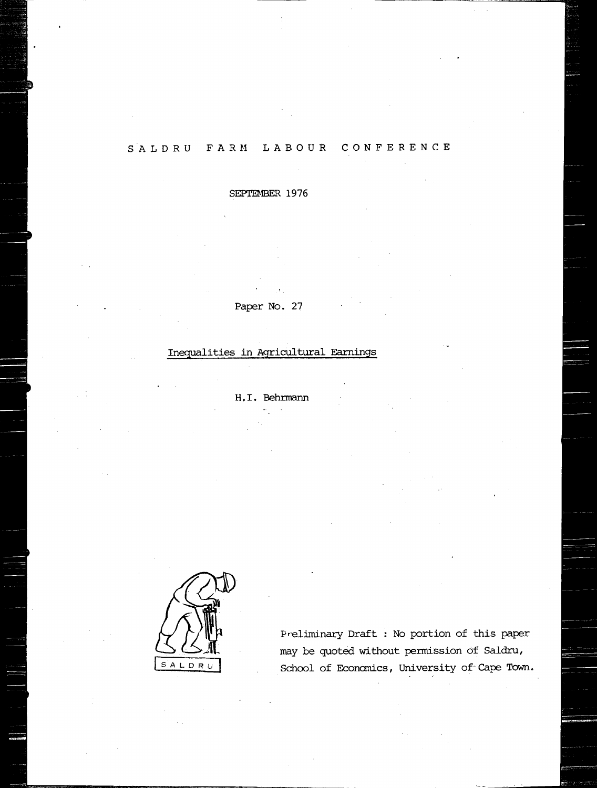## SALDRU FARM LABOUR CONFERENCE

SEPTEMBER 1976

Paper No. 27

# Inequalities in Agricultural Earnings

H. I. Behrmann



Preliminary Draft : No portion of this paper may be quoted without pennission of Saldru, School of Economics, University of Cape Town.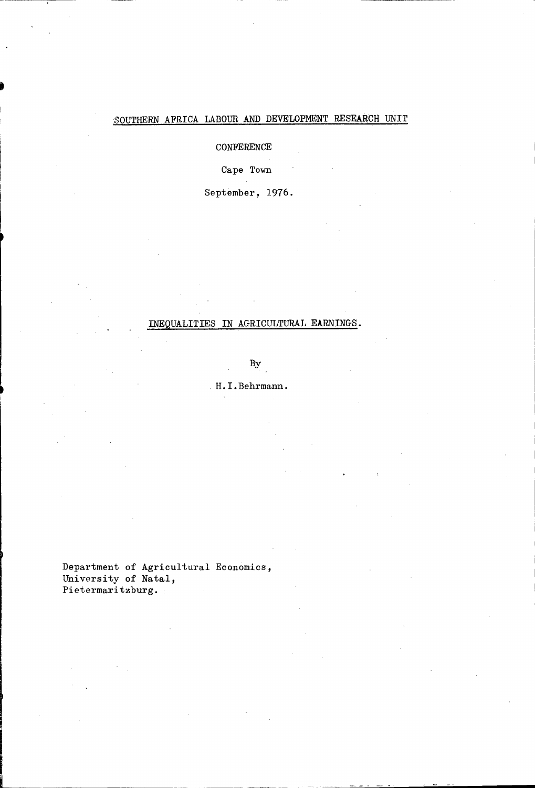## SOUTHERN AFRICA LABOUR AND DEVELOPMENT RESEARCH UNIT

### CONFERENCE

### Cape Town

September, 1976.

### INEQUALITIES IN AGRICULTURAL EARNINGS.

By

### . H. I. Behrmann.

Department of Agricultural Economics, University of Natal, Pietermaritzburg.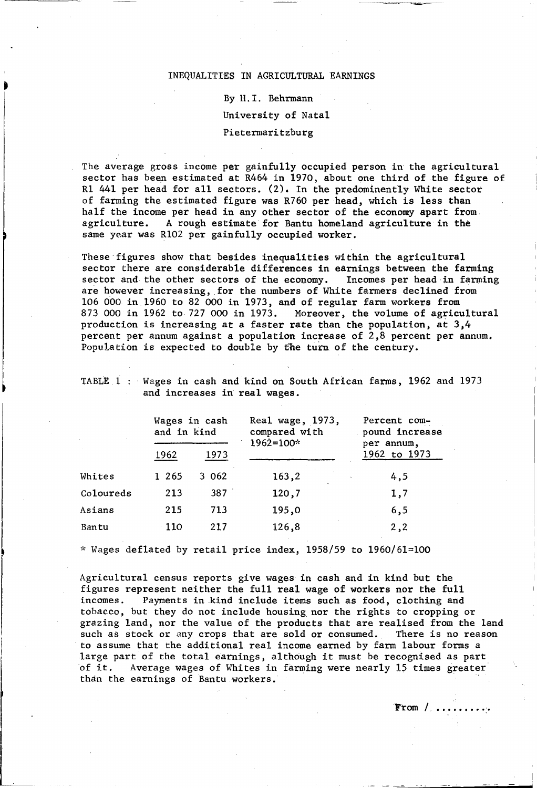#### INEQUALITIES IN AGRICULTURAL EARNINGS

By H.I. Behrmann University of Natal Pietermaritzburg

The average gross income per gainfully occupied person in the agricultural sector has been estimated at R464 in 1970, about one third of the figure of R1 441 per head for all sectors. (2). In the predominent1y White sector of farming the estimated figure was R760 per head, which is less than half the income per head in any other sector of the economy apart from agriculture. A rough estimate for Bantu homeland agriculture in the A rough estimate for Bantu homeland agriculture in the same year was Rl02 per gainfully occupied worker.

These figures show that besides inequalities within the agricultural sector there are considerable differences in earnings between the farming<br>sector and the other sectors of the economy. Incomes per head in farming sector and the other sectors of the economy. are however increasing, for the numbers of White farmers declined from 106 000 in 1960 to 82 000 in 1973, and of regular farm workers from 873 000 in 1962 to 727 000 in 1973. Moreover, the volume of agricultural production is increasing at a faster rate than the population, at 3,4 percent per annum against a population increase of 2,8 percent per annum. Population is expected to double by the turn of the century.

TABLE 1 : Wages in cash and kind on South African farms, 1962 and 1973 and increases in real wages.

|           | Wages in cash<br>and in kind<br>1962<br>1973 |       | Real wage, 1973,<br>compared with<br>$1962 = 100*$ | Percent com-<br>pound increase<br>per annum. |  |  |
|-----------|----------------------------------------------|-------|----------------------------------------------------|----------------------------------------------|--|--|
|           |                                              |       |                                                    | 1962 to 1973                                 |  |  |
| Whites    | 1 2 6 5                                      | 3 062 | 163,2                                              | 4,5                                          |  |  |
| Coloureds | 213                                          | 387   | 120,7                                              | 1,7                                          |  |  |
| Asians    | 215                                          | 713   | 195,0                                              | 6, 5                                         |  |  |
| Bantu     | 110                                          | 217   | 126,8                                              | 2, 2                                         |  |  |

 $*$  Wages deflated by retail price index, 1958/59 to 1960/61=100

l<br>List<br>List  $\overline{\phantom{a}}$  Agricultural census reports give wages in cash and in kind but the figures represent neither the full real wage of workers nor the full incomes. Payments in kind include items such as food, clothing and tobacco, but they do not include housing nor the rights to cropping or grazing land, nor the value of the products that are realised from the land such as stock or any crops that are sold or consumed. There is no reason to assume that the additional real income earned by farm labour forms a large part of the total earnings, although it must be recognised as part<br>of it. Average wages of Whites in farming were nearly 15 times greater Average wages of Whites in farming were nearly 15 times greater than the earnings of Bantu workers.

From  $/$ ............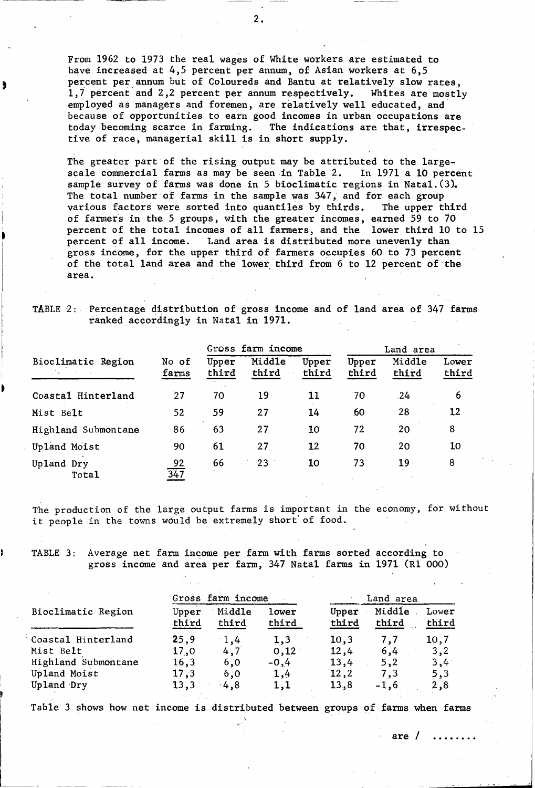From 1962 to 1973 the real wages of White workers are estimated to have increased at 4,5 percent per annum, of Asian workers at 6,5 percent per annum but of Coloureds and Bantu at relatively slow rates, 1,7 percent and 2,2 percent per annum respectively. Whites are mostly employed as managers and foremen, are relatively well educated, and because of opportunities to earn good incomes in urban occupations are today becoming scarce in farming. The indications are that, irrespective of race, managerial skill is in short supply.

The greater part of the rising output may be attributed to the largescale commercial farms as may be seen in Table 2. In 1971 a 10 percent sample survey of farms was done in 5 bioclimatic regions in Natal.  $(3)$ . The total number of farms in the sample was 347, and for each group various factors were sorted into quantiles by thirds. The upper third of farmers in the 5 groups, with the greater incomes, earned 59 to 70 percent of the total incomes of all farmers, and the lower third 10 to 15 percent of all income. Land area is distributed more unevenly than gross income, for the upper third of farmers occupies 60 to 73 percent of the total land area and the lower third from 6 to 12 percent of the area.

TABLE 2:. Percentage distribution of gross income and of land area of 347 farms ranked accordingly in Natal in 1971.

|                     |                        | Gross farm income |                 |                | Land area      |                 |                |
|---------------------|------------------------|-------------------|-----------------|----------------|----------------|-----------------|----------------|
| Bioclimatic Region  | No of<br>farms         | Upper<br>third    | Middle<br>third | Upper<br>third | Upper<br>third | Middle<br>third | Lower<br>third |
| Coastal Hinterland  | 27                     | 70                | 19              | 11             | 70             | 24              | 6              |
| Mist Belt           | 52                     | 59                | 27              | 14             | 60             | 28              | 12             |
| Highland Submontane | 86                     | 63                | 27              | $10^{\circ}$   | 72             | 20              | 8              |
| Upland Moist        | 90                     | 61                | 27              | 12             | 70             | 20              | 10             |
| Upland Dry<br>Total | 92<br>$\overline{347}$ | 66                | 23              | 10             | 73             | 19              | $8 -$          |

The production of the large output farms is important in the economy, for without it people in the towns would be extremely short' of food.

TABLE 3: Average net farm income per farm with farms sorted according to gross income and area per farm, 347 Natal farms in 1971 (R1 000)

|                     |                | Gross farm income |                |                | Land area       |                |  |  |
|---------------------|----------------|-------------------|----------------|----------------|-----------------|----------------|--|--|
| Bioclimatic Region  | Upper<br>third | Middle<br>third   | lower<br>third | Upper<br>third | Middle<br>third | Lower<br>third |  |  |
| Coastal Hinterland  | 25,9           | $-1,4$            | 1,3            | 10,3           | 7.7             | 10,7           |  |  |
| Mist Belt           | 17,0           | 4,7               | 0, 12          | 12,4           | 6,4             | 3,2            |  |  |
| Highland Submontane | 16, 3          | 6,0               | $-0,4$         | 13,4           | 5,2             | 3,4            |  |  |
| Upland Moist        | 17,3           | 6,0               | 1,4            | 12, 2          | 7,3             | 5,3            |  |  |
| Upland Dry          | 13,3           | $-4,8$            | 1,1            | 13,8           | $-1,6$          | 2,8            |  |  |

Table 3 shows how net income is distributed between groups of farms when farms

.2.

are  $/$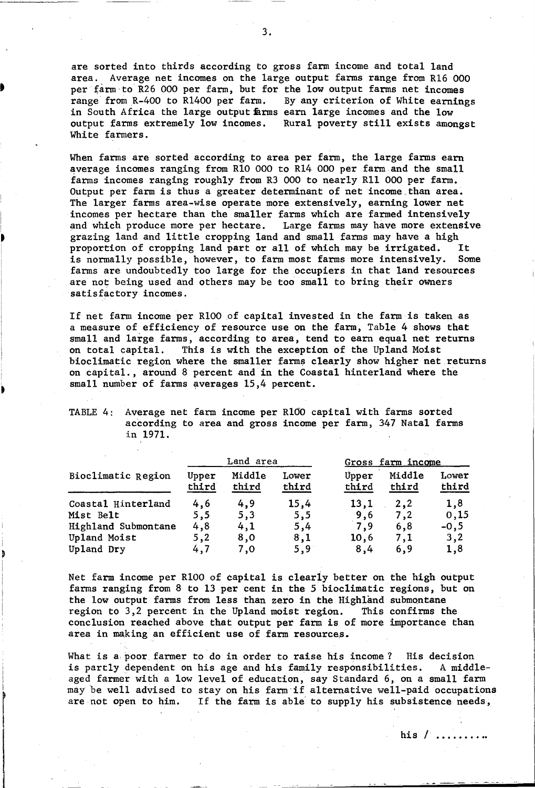are sorted into thirds according to gross farm income and total land area. Average net incomes on the large output farms range from R16 000 per farm to R26 000 per farm, but for the low output farms net incomes<br>range from R-400 to R1400 per farm. By any criterion of White earnings range from  $R-400$  to  $R1400$  per farm. in South Africa the large output farms earn large incomes and the low output farms extremely low incomes. Rural poverty still exists amongst White farmers.

When farms are sorted according to area per farm, the large farms earn average incomes ranging from R10 000 to R14 000 per farm and the small farms incomes ranging roughly from R3 000 to nearly Rl1 000 per farm. Output per farm is thus a greater determinant of net income. than area. The larger farms area-wise operate more extensively, earning lower net incomes per hectare than the smaller farms which are farmed intensively and which produce more per hectare. Large farms may have more extensive grazing land and little cropping land and small farms may have a high<br>proportion of cropping land part or all of which may be irrigated. It proportion of cropping land part or all of which may be irrigated. It<br>is normally possible, however, to farm most farms more intensively. Some is normally possible, however, to farm most farms more intensively. farms are undoubtedly too large for the occupiers in that land resources are not being used and others may be too small to bring their owners satisfactory incomes.

If net farm income per R100 of capital invested in the farm is taken as a measure of efficiency of resource use on the farm, Table 4 shows that small and large farms, according to area, tend to earn equal net returns on total capital. This is with the exception of the Upland Moist This is with the exception of the Upland Moist bioclimatic region where the smaller farms clearly show higher net returns on capital., around 8 percent and in the Coastal hinterland where the small number of farms averages 15,4 percent.

| TABLE 4: Average net farm income per R100 capital with farms sorted |  |
|---------------------------------------------------------------------|--|
| according to area and gross income per farm, 347 Natal farms        |  |
| in 1971.                                                            |  |

I

•

~

|                     |                | Land area       |                |                | Gross farm income |                |  |
|---------------------|----------------|-----------------|----------------|----------------|-------------------|----------------|--|
| Bioclimatic Region  | Upper<br>third | Middle<br>third | Lower<br>third | Upper<br>third | Middle<br>third   | Lower<br>third |  |
| Coastal Hinterland  | 4,6            | 4,9             | 15,4           | 13,1           | 2,2               | 1,8            |  |
| Mist Belt           | 5,5            | 5,3             | 5,5            | 9,6            | 7,2               | 0,15           |  |
| Highland Submontane | 4,8            | 4,1             | 5,4            | 7,9            | 6,8               | $-0,5$         |  |
| Upland Moist        | 5,2            | 8,0             | 8,1            | 10,6           | 7.1               | 3,2            |  |
| Upland Dry          | 4,7            | 7,0             | 5,9            | 8,4            | 6,9               | 1,8            |  |

Net farm income per RlOO of capital is c1eariy better on the high output farms ranging from 8 to 13 per cent in the 5 bioc1imatic regions, but on the low output farms from less than zero in the Highland submontane region to 3,2 percent in the Upland moist region. This confirms the conclusion reached above that output per farm is of more importance than area in making an efficient use of farm resources.

What is a poor farmer to do in order to raise his income? His decision is partly dependent on his age and his family responsibilities. A middleaged farmer with a low level of education, say Standard 6, on a small farm maybe well advised to stay on his farm·if alternative well-paid occupations are not open to him. If the farm is able to supply his subsistence needs,

**his / ......... .**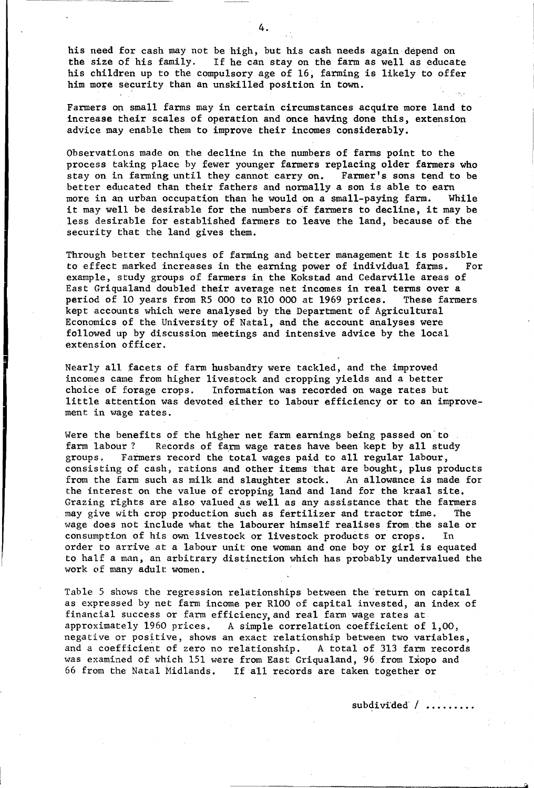his need for cash may not be high, but his cash needs again depend on the size of his family. If he can stay on the farm as well as educat If he can stay on the farm as well as educate his children up to the compulsory age of 16, farming is likely to offer him more security than an unskilled position in town.

Farmers on small farms may in certain circumstances acquire more land to increase their scales of operation and once having done this, extension advice may enable them to improve their incomes considerably.

Observations made on the decline in the numbers of farms point to the process taking place by fewer younger farmers replacing older farmers who stay on in farming until they cannot carry on. Farmer's sons tend to be stay on in farming until they cannot carry on. better educated than their fathers and normally a son is able to earn more in an urban occupation than he would on a small-paying farm. While it may well be desirable for the numbers of farmers to decline, it may be less desirable for established farmers to leave the land, because of the security that the land gives them.

Through better techniques of farming and better management it is possible<br>to effect marked increases in the earning power of individual farms. For to effect marked increases in the earning power of individual farms. example, study groups of farmers in the Kokstad and Cedarville areas of East Griqualand doubled their average net incomes in real terms over a period of 10 years from R5 000 to R10 000 at 1969 prices. These farmers period of 10 years from R5 000 to R10 000 at 1969 prices. kept accounts which were analysed by the Department of Agricultural Economics of the University of Natal, and the account analyses were followed up by discussion meetings and intensive advice by the local extension officer.

Nearly all facets of farm husbandry were tackled, and the improved incomes came from higher livestock and cropping yields and a better choice of forage crops. Information was recorded on wage rates but Information was recorded on wage rates but little attention was devoted either to labour efficiency or to an improvement in wage rates.

Were the benefits of the higher net farm earnings being passed on to farm labour? Records of farm wage rates have been kept by all study groups. Farmers record the total wages paid to all regular labour. Farmers record the total wages paid to all regular labour, consisting of cash, rations and other items that are bought, plus products from the farm such as milk and slaughter stock. An allowance is made for from the farm such as milk and slaughter stock. the interest on the value of cropping land and land for the kraal site. Grazing rights are also valued as well as any assistance that the farmers may give with crop production such as fertilizer and tractor time. The wage does not include what the labourer himself realises from the sale or consumption of his own livestock or livestock products or crops. In order to arrive at a labour unit one woman and one boy or girl is equated to half a man, an arbitrary distinction which has probably undervalued the work of many adult women.

Table 5 shows the regression relationships between the 'return on capital as expressed by net farm income per RlOO of capital invested, an index of financial success or farm efficiency, and real farm wage rates at approximately 1960 prices. A simple correlation coefficient of A simple correlation coefficient of  $1,00$ , negative or positive, shows an exact relationship between two variables, and a coefficient of zero no relationship. A total of 313 farm records was examined of which 151 were from East Griqualand, 96 from Ixopo and 66 from the Natal Midlands. If all records are taken together or

subdivided / ........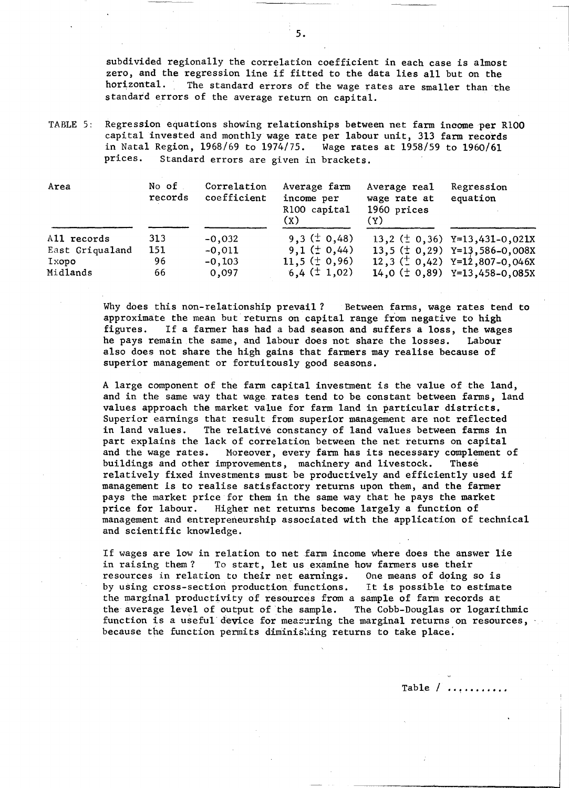subdivided regionally the correlation coefficient in each case is almost zero, and the regression line if fitted to the data lies all but on the horizontal. The standard errors of the wage rates are smaller than the The standard errors of the wage rates are smaller than the standard errors of the average return on capital.

TABLE 5: Regression equations showing relationships between net farm income per R100 capital invested and monthly wage rate per labour unit, 313 farm records in Natal Region, 1968/69 to 1974/75.<br>prices. Standard errors are given is Standard errors are given in brackets.

| Area            | No of<br>records | Correlation<br>coefficient | Average farm<br>income per<br>R100 capital<br>(x) | Average real<br>wage rate at<br>1960 prices<br>(Y) | Regression<br>equation             |
|-----------------|------------------|----------------------------|---------------------------------------------------|----------------------------------------------------|------------------------------------|
| All records     | 313              | $-0,032$                   | $9,3 \ (\pm 0,48)$                                |                                                    | 13,2 ( $\pm$ 0,36) Y=13,431-0,021X |
| East Griqualand | 151              | $-0,011$                   | $9,1 \ (\pm 0,44)$                                |                                                    | 13,5 $(\pm 0, 29)$ Y=13,586-0,008X |
| Ixopo           | 96               | $-0,103$                   | $11,5 \ (\pm 0,96)$                               |                                                    | 12,3 $(\pm 0, 42)$ Y=12,807-0,046X |
| Midlands        | 66               | 0,097                      | $6,4 \ (\pm 1,02)$                                |                                                    | 14,0 $(\pm 0, 89)$ Y=13,458-0,085X |

Why does this non-relationship prevail? Between farms, wage rates tend to approximate the mean but returns on capital range from negative to high figures. If a farmer has had a bad season and suffers a loss, the wages he pays remain the same, and labour does not share the losses. Labour also does not share the high gains that farmers may realise because of superior management or fortuitously good seasons.

A large component of the farm capital investment is the value of the land, and in the same way that wage rates tend to be constant between farms, land values approach the market value for farm land in particular districts. Superior earnings that result from superior management are not reflected in land values. The relative constancy of land values between farms in part explains the lack of correlation between the net returns on capital<br>and the wage rates. Moreover, every farm has its necessary complement Moreover, every farm has its necessary complement of buildings and other improvements, machinery and livestock. These relatively fixed investments must be productively and efficiently used if management is to realise satisfactory returns upon them, and the farmer pays the market price for them in the same way that he pays the market price for labour. Higher net returns become largely a function of management and entrepreneurship associated with the application of technical and scientific knowledge.

If wages are low in relation to net farm income where does the answer lie in raising them? To start, let us examine how farmers use their resources in relation to their net earnings. One means of doing so is by using cross-section production functions. It is possible to estimate the marginal productivity of resources from a sample of farm records at the average level of output of the sample. The Cobb-Douglas or logarithmic function is a useful device for measuring the marginal returns on resources, because the function permits diminishing returns to take place.

Table /  $\dots\dots$ 

I

 $\overline{\phantom{a}}$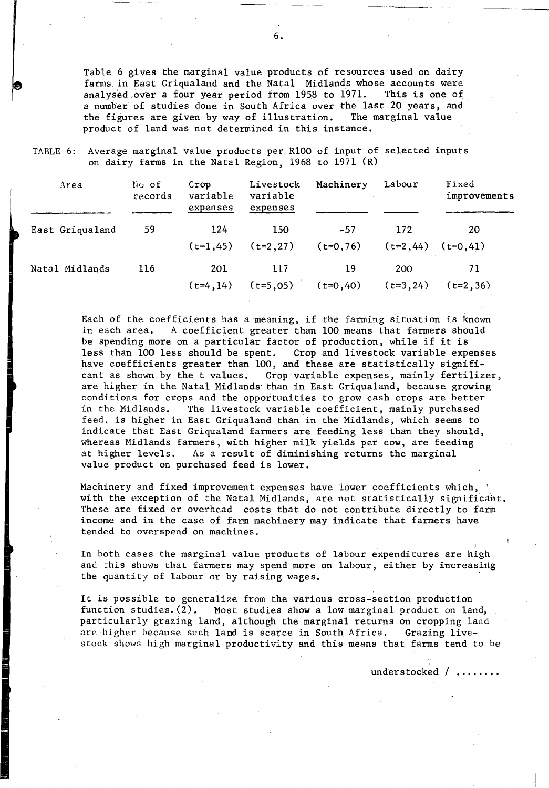Table 6 gives the marginal value products of resources used on dairy farms in East Griqualand and the Natal Midlands whose accounts were<br>analysed over a four year period from 1958 to 1971. This is one of analysed over a four year period from 1958 to 1971. a number of studies done in South Africa over the last 20 years, and the figures are given by way of illustration. The marginal value the figures are given by way of illustration. product of land was not determined in this instance.

TABLE 6: Average marginal value products per RIOO of input of selected inputs on dairy farms in the Natal Region, 1968 to 1971 (R)

| Area                                 | No of<br>records | Crop<br>variable<br>expenses | Livestock<br>variable<br>expenses | Machinery            | Labour                         | Fixed<br>improvements |
|--------------------------------------|------------------|------------------------------|-----------------------------------|----------------------|--------------------------------|-----------------------|
| East Griqualand<br><b>Contractor</b> | 59               | 124<br>$(t=1, 45)$           | 150<br>$(t=2,27)$                 | $-57$<br>$(t=0, 76)$ | 172<br>$(t=2, 44)$ $(t=0, 41)$ | 20                    |
| Natal Midlands                       | 116              | 201<br>$(t=4, 14)$           | 117<br>$(t=5,05)$                 | 19<br>$(t=0, 40)$    | 200<br>$(t=3, 24)$             | 71<br>$(t=2, 36)$     |

Each of the coefficients has a meaning, if the farming situation is known<br>in each area. A coefficient greater than 100 means that farmers should A coefficient greater than 100 means that farmers should be spending more on a particular factor of production, while if it is<br>less than 100 less should be spent. Crop and livestock variable expe Crop and livestock variable expenses have coefficients greater than 100, and these are statistically significant as shown by the t values. Crop variable expenses, mainly fertilizer, are higher in the Natal Midlands' than in East Griqualand, because growing conditions for crops and the opportunities to grow cash crops are better in the Midlands. The livestock variable coefficient, mainly purchased feed, is higher in East Griqualand than in the Midlands, which seems to indicate that East Griqualand farmers are feeding less than they should, whereas Midlands farmers, with higher milk yields per cow, are feeding at higher levels. As a result of diminishing returns the marginal value product on purchased feed is lower.

Machinery and fixed improvement expenses have lower coefficients which,  $\beta$ with the exception of the Natal Midlands, are not statistically significant. These are fixed or overhead costs that do not contribute directly to farm income and in the case of farm machinery may indicate that farmers have tended to overspend on machines.

In both cases the marginal value products of labour expenditures are high and this shows that farmers may spend more on labour, either by increasing the quantity of labour or by raising wages.

It is possible to generalize from the various cross-section production<br>function studies. (2). Most studies show a low marginal product on law Most studies show a low marginal product on land, particularly grazing land, although the marginal returns on cropping land are higher because such land is scarce in South Africa. Grazing livestock shows high marginal productivity and this means that farms tend to be

under stocked / .......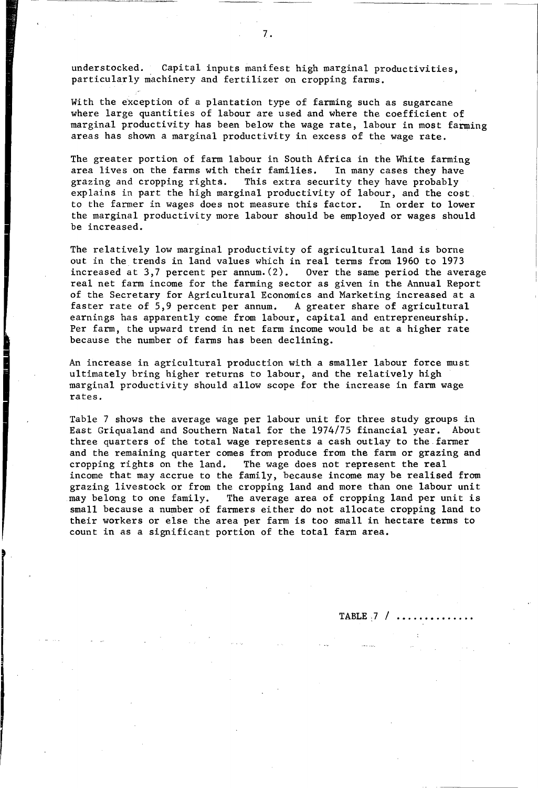understocked. Capital inputs manifest high marginal productivities, particularly machinery and fertilizer on cropping farms.

With the exception of a plantation type of farming such as sugarcane where large quantities of labour are used and where the coefficient of marginal productivity has been below the wage rate, labour in most farming areas has shown a marginal productivity in excess of the wage rate.

The greater portion of farm labour in South Africa in the White farming area lives on the farms with their families. In many cases they have grazing and cropping rights. This extra security they have probably explains in part the high marginal productivity of labour, and the cost. to the farmer in wages does not measure this factor. In order to lower the marginal productivity more labour should be employed or wages should be increased.

The relatively low marginal productivity of agricultural land is borne out in the trends in land values which in real terms from 1960 to 1973 increased at 3,7 percent per annum. (2). Over the same period the average real net farm income for the farming sector as given in the Annual Report of the Secretary for Agricultural Economics and Marketing increased at a faster rate of 5,9 percent per annum. A greater share of agricultural A greater share of agricultural earnings has apparently come from labour, capital and entrepreneurship. Per farm, the upward trend in net farm income would be at a higher rate because the number of farms has been declining.

An increase in agricultural production with a smaller labour force must ultimately bring higher returns to labour, and the relatively high marginal productivity should allow scope for the increase in farm wage rates.

Table 7 shows the average wage per labour unit for three study groups in East Griqua1and and Southern Natal for the 1974/75 financial year. About three quarters of the total wage represents a cash outlay to the.farmer and the remaining quarter comes from produce from the farm or grazing and cropping rights on the land. The wage does not represent the real income that may accrue to the family, because income may be realised from grazing livestock or from the cropping land and more than one labour unit may belong to one family. The average area of cropping land per unit is small because a number of farmers either do not allocate cropping land to their workers or else the area per farm is too small in hectare terms to count in as a significant portion of the total farm area.

TABLE:7 /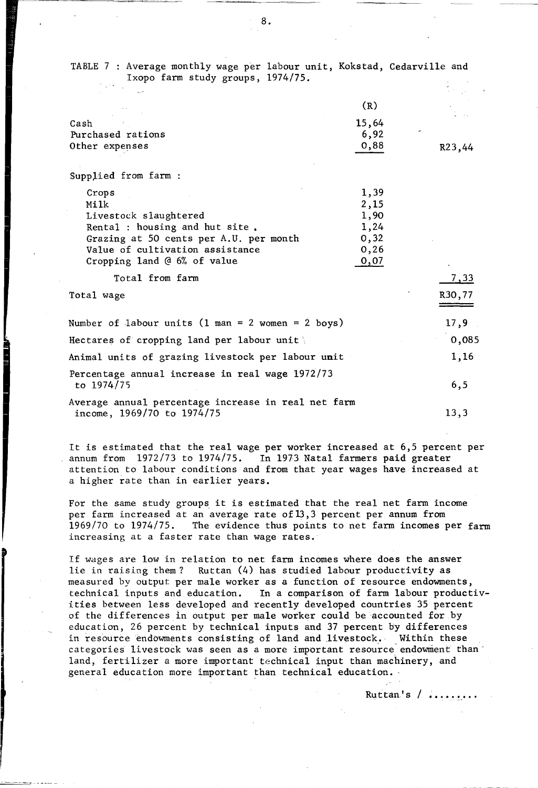| TABLE 7 : Average monthly wage per labour unit, Kokstad, Cedarville and<br>Ixopo farm study groups, 1974/75. |              |             |
|--------------------------------------------------------------------------------------------------------------|--------------|-------------|
|                                                                                                              |              |             |
|                                                                                                              | (R)          |             |
| Cash                                                                                                         | 15,64        |             |
| Purchased rations                                                                                            | 6,92         |             |
| Other expenses                                                                                               | 0,88         | R23,44      |
| Supplied from farm :                                                                                         |              |             |
| Crops                                                                                                        | 1,39         |             |
| Milk                                                                                                         | 2,15         |             |
| Livestock slaughtered                                                                                        | 1,90         |             |
| Rental : housing and hut site.                                                                               | 1,24         |             |
| Grazing at 50 cents per A.U. per month                                                                       | 0, 32        |             |
| Value of cultivation assistance<br>Cropping land @ 6% of value                                               | 0,26<br>0,07 |             |
|                                                                                                              |              |             |
| Total from farm                                                                                              |              | <u>7,33</u> |
| Total wage                                                                                                   |              | R30,77      |
| Number of labour units (1 man = 2 women = 2 boys)                                                            |              | 17,9        |
| Hectares of cropping land per labour unit                                                                    |              | 0,085       |
| Animal units of grazing livestock per labour unit                                                            |              | 1,16        |
| Percentage annual increase in real wage 1972/73                                                              |              |             |
| to 1974/75                                                                                                   |              | 6, 5        |
| Average annual percentage increase in real net farm<br>income, 1969/70 to 1974/75                            |              | 13,3        |
|                                                                                                              |              |             |

It is estimated that the real wage per worker increased at 6,5 percent per annum from 1972/73 to 1974/75. In 1973 Natal farmers paid greater In 1973 Natal farmers paid greater attention to labour conditions and from that year wages have increased at a higher rate than in earlier years.

For the same study groups it is estimated that the real net farm income per farm increased at an average rate of 13,3 percent per annum from<br>1969/70 to 1974/75. The evidence thus points to net farm incomes p The evidence thus points to net farm incomes per farm increasing at a faster rate than wage rates.

If wages are low in relation to net farm incomes where does the answer lie in raising them? Ruttan (4) has studied labour productivity as measured by output per male worker as a function of resource endowments, technical inputs and education. In a comparison of farm labour productivities between less developed and recently developed countries 35 percent of the differences in output per male worker could be accounted for by education, 26 percent by technical inputs and 37 percent by differences in resource endowments consisting of land and livestock. Within these categories livestock was seen as a more important resource endowment than land, fertilizer a more important technical input than machinery, and general education more important than technical education.

Ruttan's  $/$  .....

8.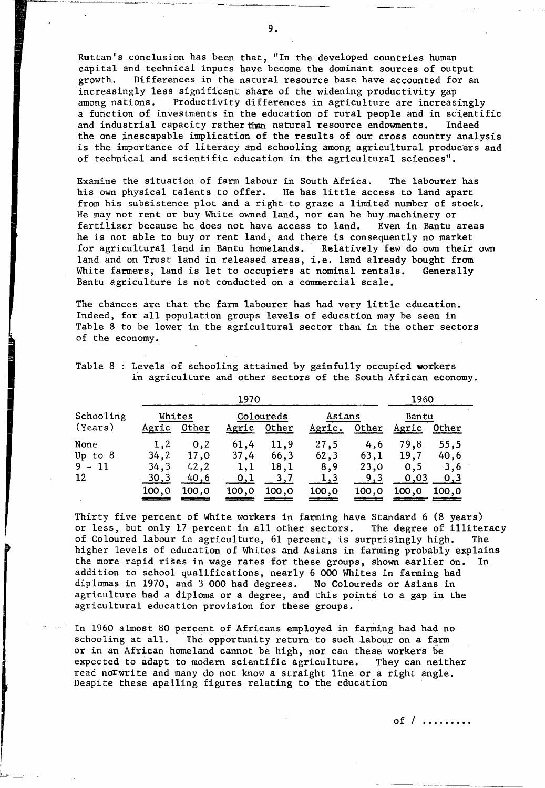Ruttan's conclusion has been that, "In the developed countries human capital and technical inputs have become the dominant sources of output growth. Differences in the natural resource base have accounted for an increasingly less significant share of the widening productivity gap<br>among nations. Productivity differences in agriculture are increas Productivity differences in agriculture are increasingly a function of investments in the education of rural people and in scientific and industrial capacity rather than natural resource endowments. Indeed the one inescapable implication of the results of our cross country analysis is the importance of literacy and schooling among agricultural producers and of technical and scientific education in the agricultural sciences" •.

Examine the situation of farm labour in South Africa. The labourer has his own physical talents to offer. He has little access to land apart from his subsistence plot and a right to graze a limited number of stock. He may not rent or buy White owned land, nor can he buy.machinery or fertilizer because he does not have access to land. Even in Bantu areas he is not able to buy or rent land, and there is consequently no market<br>for agricultural land in Bantu homelands. Relatively few do own their own for agricultural land in Bantu homelands. land and on Trust land in released areas, i.e. land already bought from<br>White farmers, land is let to occupiers at nominal rentals. Generally White farmers, land is let to occupiers at nominal rentals. Bantu agriculture is not conducted on a 'commercial scale.

The chances are that the farm labourer has had very little education. Indeed, for all population groups levels of education may be seen in Table 8 to be lower in the agricultural sector than in the other sectors of the economy.

|                                     | 1970                                  |                                       |                                            |                                      |                                             |                                     |                                      | 1960                                |  |  |
|-------------------------------------|---------------------------------------|---------------------------------------|--------------------------------------------|--------------------------------------|---------------------------------------------|-------------------------------------|--------------------------------------|-------------------------------------|--|--|
| Schooling<br>(Years)                | Whites<br>Agric                       | Other                                 | Agric                                      | Coloureds<br>Other                   | Asians<br>Agric.                            | 0ther                               | Bantu<br>Agric                       | Other                               |  |  |
| None<br>Up to $8$<br>$9 - 11$<br>12 | 1.2<br>34, 2<br>34,3<br>30,3<br>100,0 | 0,2<br>17.0<br>42, 2<br>40,6<br>100,0 | 61,4<br>37,4<br>1,1<br><u>0,1</u><br>100,0 | 11,9<br>66,3<br>18,1<br>3,7<br>100,0 | 27,5<br>62, 3<br>8,9<br><u>1,3</u><br>100,0 | 4,6<br>63,1<br>23,0<br>9,3<br>100.0 | 79.8<br>19,7<br>0.5<br>0,03<br>100,0 | 55,5<br>40,6<br>3,6<br>0,3<br>100.0 |  |  |

Table 8 : Levels of schooling attained by gainfully occupied workers in agriculture and other sectors of the South African economy.

Thirty five percent of White workers in farming have Standard 6 (8 years) or less, but only 17 percent in all other sectors. The degree of illiteracy of Coloured labour in agriculture, 61 percent, is surprisingly high. The higher levels of education of Whites and Asians in farming probably explains the more rapid rises in wage rates for these groups, shown earlier on. In addition to school qualifications, nearly 6 000 Whites in farming had diplomas in 1970, and 3 000 had degrees. No Coloureds or Asians in agriculture had a diploma or a degree, and this points to a gap in the agricultural education provision for these groups.

In 1960 almost 80 percent of Africans employed in farming had had no schooling at all. The opportunity return to such labour on a farm The opportunity return to such labour on a farm or in an African homeland cannot be high, nor can these workers be expected to adapt to modern scientific agriculture. They can neither read norwrite and many do not know a straight line or a right angle. Despite these apal1ing figures relating to the education

**of / , ....... .**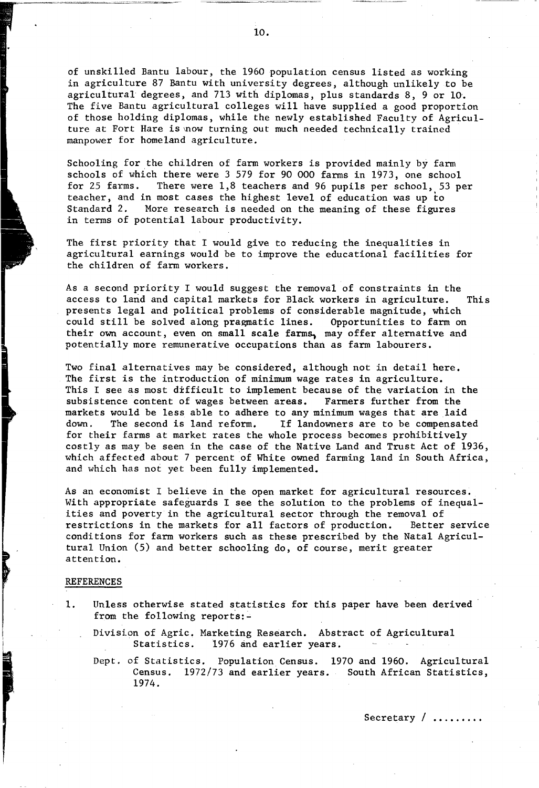of unskilled Bantu labour, the 1960 population census listed as working in agriculture 87 Bantu with university degrees, although unlikely to be agricultural degrees, and 713 with diplomas, plus standards 8, 9 or 10. The five Bantu agricultural colleges will have supplied a good proportion of those holding diplomas, while the newly established Faculty of Agriculture at Fort Hare is mow turning out much needed technically trained manpower for homeland agriculture.

Schooling for the children of farm workers is provided mainly by farm schools of which there were 3 579 for 90 000 farms in 1973, one school<br>for 25 farms. There were 1,8 teachers and 96 pupils per school, 53 p There were  $1,8$  teachers and 96 pupils per school, 53 per teacher, and in most cases the highest level of education was up to<br>Standard 2. More research is needed on the meaning of these figure More research is needed on the meaning of these figures in terms of potential labour productivity.

The first priority that I would give to reducing the inequalities in agricultural earnings would be to improve the educational facilities for the children of farm workers.

As a second priority I would suggest the removal of constraints in the access to land and capital markets for Black workers in agriculture. This presents legal and political problems of considerable magnitude, which<br>could still be solved along pragmatic lines. Opportunities to farm on could still be solved along pragmatic lines. their own account, even on small scale farms, may offer alternative and potentially more remunerative occupations than as farm labourers.

Two final alternatives may be considered, although not in detail here. The first is the introduction of minimum wage rates in agriculture. This I see as most difficult to implement because of the variation in the subsistence content of wages between areas. Farmers further from the markets would be less able to adhere to any minimum wages that are laid<br>down. The second is land reform. If landowners are to be compensate down. The second is land reform. If landowners are to be compensated for their farms at market rates the whole process becomes prohibitively costly as may be seen in the case of the Native Land and Trust Act of 1936, which affected about 7 percent of White owned farming land in South Africa, and which has not yet been fully implemented.

As an economist I believe in the open market for agricultural resources. With appropriate safeguards I see the solution to the problems of inequalities and poverty in the agricultural sector through the removal of restrictions in the markets for all factors of production. Better service conditions for farm workers such as these prescribed by the Natal Agricultural Union (5) and better schooling do, of course, merit greater attention.

#### REFERENCES

- 1. Unless otherwise stated statistics for this paper have been derived from the following reports: $-$ 
	- Divisi.on of Agric. Marketing Research. Abstract of Agricultural Statistics. 1976 and earlier years.

Dept. of Statistics. Population Census. 1970 and 1960. Agricultural Census. 1972/73 and earlier years. South African Statistics, 1974.

10.

Secretary / ........